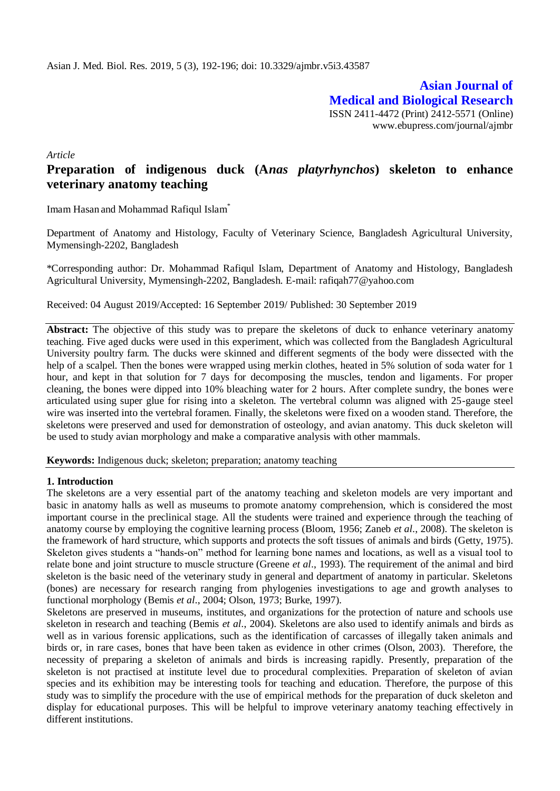**Asian Journal of Medical and Biological Research** ISSN 2411-4472 (Print) 2412-5571 (Online) www.ebupress.com/journal/ajmbr

*Article*

# **Preparation of indigenous duck (A***nas platyrhynchos***) skeleton to enhance veterinary anatomy teaching**

Imam Hasan and Mohammad Rafiqul Islam\*

Department of Anatomy and Histology, Faculty of Veterinary Science, Bangladesh Agricultural University, Mymensingh-2202, Bangladesh

\*Corresponding author: Dr. Mohammad Rafiqul Islam, Department of Anatomy and Histology, Bangladesh Agricultural University, Mymensingh-2202, Bangladesh. E-mail: [rafiqah77@yahoo.com](mailto:rafiqah77@yahoo.com)

Received: 04 August 2019/Accepted: 16 September 2019/ Published: 30 September 2019

**Abstract:** The objective of this study was to prepare the skeletons of duck to enhance veterinary anatomy teaching. Five aged ducks were used in this experiment, which was collected from the Bangladesh Agricultural University poultry farm. The ducks were skinned and different segments of the body were dissected with the help of a scalpel. Then the bones were wrapped using merkin clothes, heated in 5% solution of soda water for 1 hour, and kept in that solution for 7 days for decomposing the muscles, tendon and ligaments. For proper cleaning, the bones were dipped into 10% bleaching water for 2 hours. After complete sundry, the bones were articulated using super glue for rising into a skeleton. The vertebral column was aligned with 25-gauge steel wire was inserted into the vertebral foramen. Finally, the skeletons were fixed on a wooden stand. Therefore, the skeletons were preserved and used for demonstration of osteology, and avian anatomy. This duck skeleton will be used to study avian morphology and make a comparative analysis with other mammals.

**Keywords:** Indigenous duck; skeleton; preparation; anatomy teaching

### **1. Introduction**

The skeletons are a very essential part of the anatomy teaching and skeleton models are very important and basic in anatomy halls as well as museums to promote anatomy comprehension, which is considered the most important course in the preclinical stage. All the students were trained and experience through the teaching of anatomy course by employing the cognitive learning process (Bloom, 1956; Zaneb *et al*., 2008). The skeleton is the framework of hard structure, which supports and protects the soft tissues of animals and birds (Getty, 1975). Skeleton gives students a "hands-on" method for learning bone names and locations, as well as a visual tool to relate bone and joint structure to muscle structure (Greene *et al*., 1993). The requirement of the animal and bird skeleton is the basic need of the veterinary study in general and department of anatomy in particular. Skeletons (bones) are necessary for research ranging from phylogenies investigations to age and growth analyses to functional morphology (Bemis *et al*., 2004; Olson, 1973; Burke, 1997).

Skeletons are preserved in museums, institutes, and organizations for the protection of nature and schools use skeleton in research and teaching (Bemis *et al*., 2004). Skeletons are also used to identify animals and birds as well as in various forensic applications, such as the identification of carcasses of illegally taken animals and birds or, in rare cases, bones that have been taken as evidence in other crimes (Olson, 2003). Therefore, the necessity of preparing a skeleton of animals and birds is increasing rapidly. Presently, preparation of the skeleton is not practised at institute level due to procedural complexities. Preparation of skeleton of avian species and its exhibition may be interesting tools for teaching and education. Therefore, the purpose of this study was to simplify the procedure with the use of empirical methods for the preparation of duck skeleton and display for educational purposes. This will be helpful to improve veterinary anatomy teaching effectively in different institutions.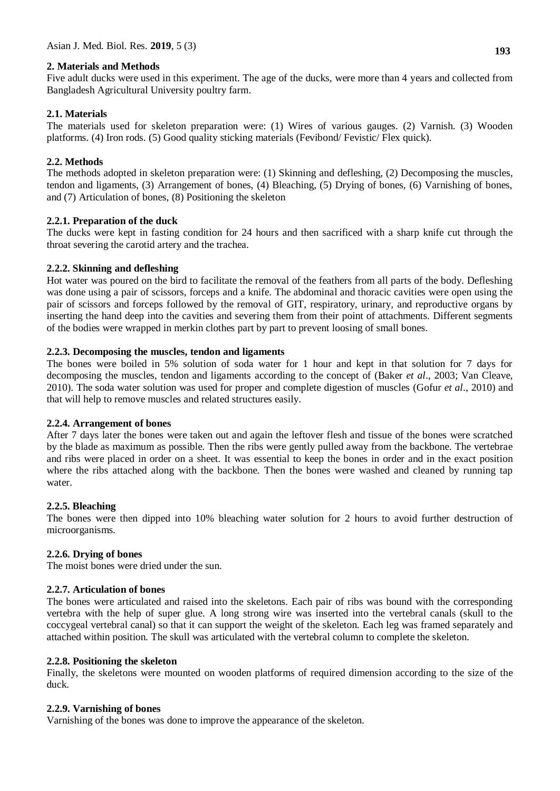### **2. Materials and Methods**

Five adult ducks were used in this experiment. The age of the ducks, were more than 4 years and collected from Bangladesh Agricultural University poultry farm.

# **2.1. Materials**

The materials used for skeleton preparation were: (1) Wires of various gauges. (2) Varnish. (3) Wooden platforms. (4) Iron rods. (5) Good quality sticking materials (Fevibond/ Fevistic/ Flex quick).

# **2.2. Methods**

The methods adopted in skeleton preparation were: (1) Skinning and defleshing, (2) Decomposing the muscles, tendon and ligaments, (3) Arrangement of bones, (4) Bleaching, (5) Drying of bones, (6) Varnishing of bones, and (7) Articulation of bones, (8) Positioning the skeleton

## **2.2.1. Preparation of the duck**

The ducks were kept in fasting condition for 24 hours and then sacrificed with a sharp knife cut through the throat severing the carotid artery and the trachea.

## **2.2.2. Skinning and defleshing**

Hot water was poured on the bird to facilitate the removal of the feathers from all parts of the body. Defleshing was done using a pair of scissors, forceps and a knife. The abdominal and thoracic cavities were open using the pair of scissors and forceps followed by the removal of GIT, respiratory, urinary, and reproductive organs by inserting the hand deep into the cavities and severing them from their point of attachments. Different segments of the bodies were wrapped in merkin clothes part by part to prevent loosing of small bones.

# **2.2.3. Decomposing the muscles, tendon and ligaments**

The bones were boiled in 5% solution of soda water for 1 hour and kept in that solution for 7 days for decomposing the muscles, tendon and ligaments according to the concept of (Baker *et al*., 2003; Van Cleave, 2010). The soda water solution was used for proper and complete digestion of muscles (Gofur *et al*., 2010) and that will help to remove muscles and related structures easily.

### **2.2.4. Arrangement of bones**

After 7 days later the bones were taken out and again the leftover flesh and tissue of the bones were scratched by the blade as maximum as possible. Then the ribs were gently pulled away from the backbone. The vertebrae and ribs were placed in order on a sheet. It was essential to keep the bones in order and in the exact position where the ribs attached along with the backbone. Then the bones were washed and cleaned by running tap water.

### **2.2.5. Bleaching**

The bones were then dipped into 10% bleaching water solution for 2 hours to avoid further destruction of microorganisms.

# **2.2.6. Drying of bones**

The moist bones were dried under the sun.

# **2.2.7. Articulation of bones**

The bones were articulated and raised into the skeletons. Each pair of ribs was bound with the corresponding vertebra with the help of super glue. A long strong wire was inserted into the vertebral canals (skull to the coccygeal vertebral canal) so that it can support the weight of the skeleton. Each leg was framed separately and attached within position. The skull was articulated with the vertebral column to complete the skeleton.

### **2.2.8. Positioning the skeleton**

Finally, the skeletons were mounted on wooden platforms of required dimension according to the size of the duck.

### **2.2.9. Varnishing of bones**

Varnishing of the bones was done to improve the appearance of the skeleton.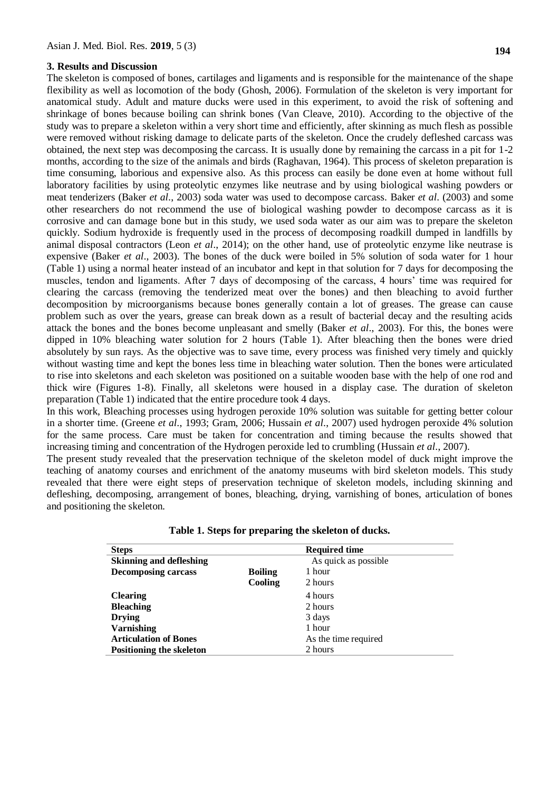#### **3. Results and Discussion**

The skeleton is composed of bones, cartilages and ligaments and is responsible for the maintenance of the shape flexibility as well as locomotion of the body (Ghosh, 2006). Formulation of the skeleton is very important for anatomical study. Adult and mature ducks were used in this experiment, to avoid the risk of softening and shrinkage of bones because boiling can shrink bones (Van Cleave, 2010). According to the objective of the study was to prepare a skeleton within a very short time and efficiently, after skinning as much flesh as possible were removed without risking damage to delicate parts of the skeleton. Once the crudely defleshed carcass was obtained, the next step was decomposing the carcass. It is usually done by remaining the carcass in a pit for 1-2 months, according to the size of the animals and birds (Raghavan, 1964). This process of skeleton preparation is time consuming, laborious and expensive also. As this process can easily be done even at home without full laboratory facilities by using proteolytic enzymes like neutrase and by using biological washing powders or meat tenderizers (Baker *et al*., 2003) soda water was used to decompose carcass. Baker *et al*. (2003) and some other researchers do not recommend the use of biological washing powder to decompose carcass as it is corrosive and can damage bone but in this study, we used soda water as our aim was to prepare the skeleton quickly. Sodium hydroxide is frequently used in the process of decomposing roadkill dumped in landfills by animal disposal contractors (Leon *et al*., 2014); on the other hand, use of proteolytic enzyme like neutrase is expensive (Baker *et al*., 2003). The bones of the duck were boiled in 5% solution of soda water for 1 hour (Table 1) using a normal heater instead of an incubator and kept in that solution for 7 days for decomposing the muscles, tendon and ligaments. After 7 days of decomposing of the carcass, 4 hours' time was required for clearing the carcass (removing the tenderized meat over the bones) and then bleaching to avoid further decomposition by microorganisms because bones generally contain a lot of greases. The grease can cause problem such as over the years, grease can break down as a result of bacterial decay and the resulting acids attack the bones and the bones become unpleasant and smelly (Baker *et al*., 2003). For this, the bones were dipped in 10% bleaching water solution for 2 hours (Table 1). After bleaching then the bones were dried absolutely by sun rays. As the objective was to save time, every process was finished very timely and quickly without wasting time and kept the bones less time in bleaching water solution. Then the bones were articulated to rise into skeletons and each skeleton was positioned on a suitable wooden base with the help of one rod and thick wire (Figures 1-8). Finally, all skeletons were housed in a display case. The duration of skeleton preparation (Table 1) indicated that the entire procedure took 4 days.

In this work, Bleaching processes using hydrogen peroxide 10% solution was suitable for getting better colour in a shorter time. (Greene *et al*., 1993; Gram, 2006; Hussain *et al*., 2007) used hydrogen peroxide 4% solution for the same process. Care must be taken for concentration and timing because the results showed that increasing timing and concentration of the Hydrogen peroxide led to crumbling (Hussain *et al*., 2007).

The present study revealed that the preservation technique of the skeleton model of duck might improve the teaching of anatomy courses and enrichment of the anatomy museums with bird skeleton models. This study revealed that there were eight steps of preservation technique of skeleton models, including skinning and defleshing, decomposing, arrangement of bones, bleaching, drying, varnishing of bones, articulation of bones and positioning the skeleton.

| <b>Steps</b>                   |                | <b>Required time</b> |
|--------------------------------|----------------|----------------------|
| <b>Skinning and defleshing</b> |                | As quick as possible |
| <b>Decomposing carcass</b>     | <b>Boiling</b> | 1 hour               |
|                                | Cooling        | 2 hours              |
| <b>Clearing</b>                |                | 4 hours              |
| <b>Bleaching</b>               |                | 2 hours              |
| <b>Drying</b>                  |                | 3 days               |
| <b>Varnishing</b>              |                | 1 hour               |
| <b>Articulation of Bones</b>   |                | As the time required |
| Positioning the skeleton       |                | 2 hours              |

**Table 1. Steps for preparing the skeleton of ducks.**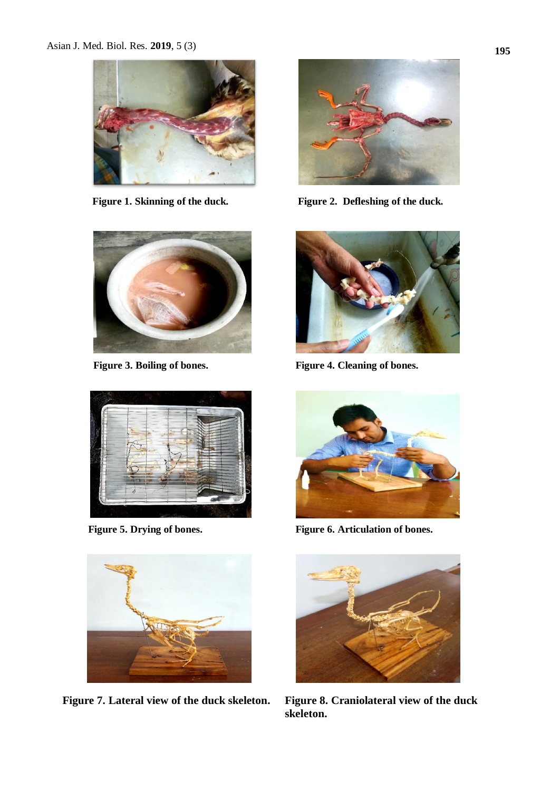







 **Figure 7. Lateral view of the duck skeleton. Figure 8. Craniolateral view of the duck** 



**Figure 1. Skinning of the duck. Figure 2. Defleshing of the duck.**



 **Figure 3. Boiling of bones. Figure 4. Cleaning of bones.**



Figure 5. Drying of bones. Figure 6. Articulation of bones.



**skeleton.**